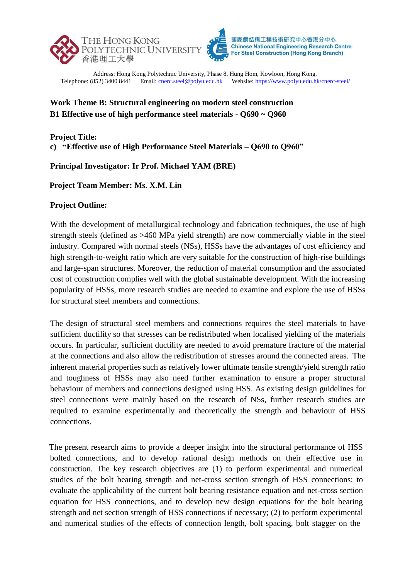



Address: Hong Kong Polytechnic University, Phase 8, Hung Hom, Kowloon, Hong Kong.<br>852) 3400 8441 Email: cnerc.steel@polyu.edu.hk Website: https://www.polyu.edu.hk/cnerc-steel/ Telephone:  $(852)$  3400 8441 Email: [cnerc.steel@polyu.edu.hk](mailto:cnerc.steel@polyu.edu.hk)

# **Work Theme B: Structural engineering on modern steel construction B1 Effective use of high performance steel materials - Q690 ~ Q960**

### **Project Title: c) "Effective use of High Performance Steel Materials – Q690 to Q960"**

## **Principal Investigator: Ir Prof. Michael YAM (BRE)**

### **Project Team Member: Ms. X.M. Lin**

#### **Project Outline:**

With the development of metallurgical technology and fabrication techniques, the use of high strength steels (defined as >460 MPa yield strength) are now commercially viable in the steel industry. Compared with normal steels (NSs), HSSs have the advantages of cost efficiency and high strength-to-weight ratio which are very suitable for the construction of high-rise buildings and large-span structures. Moreover, the reduction of material consumption and the associated cost of construction complies well with the global sustainable development. With the increasing popularity of HSSs, more research studies are needed to examine and explore the use of HSSs for structural steel members and connections.

The design of structural steel members and connections requires the steel materials to have sufficient ductility so that stresses can be redistributed when localised yielding of the materials occurs. In particular, sufficient ductility are needed to avoid premature fracture of the material at the connections and also allow the redistribution of stresses around the connected areas. The inherent material properties such as relatively lower ultimate tensile strength/yield strength ratio and toughness of HSSs may also need further examination to ensure a proper structural behaviour of members and connections designed using HSS. As existing design guidelines for steel connections were mainly based on the research of NSs, further research studies are required to examine experimentally and theoretically the strength and behaviour of HSS connections.

The present research aims to provide a deeper insight into the structural performance of HSS bolted connections, and to develop rational design methods on their effective use in construction. The key research objectives are (1) to perform experimental and numerical studies of the bolt bearing strength and net-cross section strength of HSS connections; to evaluate the applicability of the current bolt bearing resistance equation and net-cross section equation for HSS connections, and to develop new design equations for the bolt bearing strength and net section strength of HSS connections if necessary; (2) to perform experimental and numerical studies of the effects of connection length, bolt spacing, bolt stagger on the